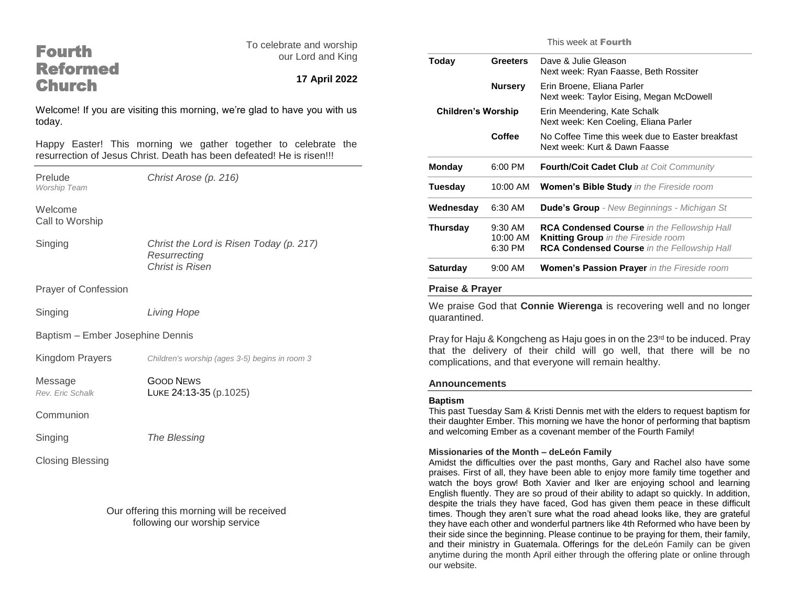## Fourth Reformed **Church**

To celebrate and worship our Lord and King

### **17 April 2022**

Welcome! If you are visiting this morning, we're glad to have you with us today.

Happy Easter! This morning we gather together to celebrate the resurrection of Jesus Christ. Death has been defeated! He is risen!!!

*Worship Team*

Prelude *Christ Arose (p. 216)*

Welcome Call to Worship

Singing *Christ the Lord is Risen Today (p. 217) Resurrecting Christ is Risen*

Prayer of Confession

Singing *Living Hope*

Baptism – Ember Josephine Dennis

Kingdom Prayers *Children's worship (ages 3-5) begins in room 3*

Message Good News

*Rev. Eric Schalk* LUKE 24:13-35 (p.1025)

**Communion** 

Singing *The Blessing*

Closing Blessing

Our offering this morning will be received following our worship service

This week at Fourth

| Today                     | <b>Greeters</b>                  | Dave & Julie Gleason<br>Next week: Ryan Faasse, Beth Rossiter                                                                                          |
|---------------------------|----------------------------------|--------------------------------------------------------------------------------------------------------------------------------------------------------|
|                           | <b>Nursery</b>                   | Erin Broene, Eliana Parler<br>Next week: Taylor Eising, Megan McDowell                                                                                 |
| <b>Children's Worship</b> |                                  | Erin Meendering, Kate Schalk<br>Next week: Ken Coeling, Eliana Parler                                                                                  |
|                           | Coffee                           | No Coffee Time this week due to Easter breakfast<br>Next week: Kurt & Dawn Faasse                                                                      |
| <b>Monday</b>             | 6:00 PM                          | Fourth/Coit Cadet Club at Coit Community                                                                                                               |
| Tuesday                   | 10:00 AM                         | <b>Women's Bible Study</b> in the Fireside room                                                                                                        |
| Wednesday                 | 6:30 AM                          | <b>Dude's Group</b> - New Beginnings - Michigan St                                                                                                     |
| Thursday                  | $9:30$ AM<br>10:00 AM<br>6:30 PM | <b>RCA Condensed Course</b> in the Fellowship Hall<br><b>Knitting Group</b> in the Fireside room<br><b>RCA Condensed Course</b> in the Fellowship Hall |
| <b>Saturday</b>           | 9:00 AM                          | <b>Women's Passion Prayer</b> in the Fireside room                                                                                                     |
|                           |                                  |                                                                                                                                                        |

#### **Praise & Prayer**

We praise God that **Connie Wierenga** is recovering well and no longer quarantined.

Pray for Haju & Kongcheng as Haju goes in on the  $23<sup>rd</sup>$  to be induced. Pray that the delivery of their child will go well, that there will be no complications, and that everyone will remain healthy.

#### **Announcements**

#### **Baptism**

This past Tuesday Sam & Kristi Dennis met with the elders to request baptism for their daughter Ember. This morning we have the honor of performing that baptism and welcoming Ember as a covenant member of the Fourth Family!

#### **Missionaries of the Month – deLeón Family**

Amidst the difficulties over the past months, Gary and Rachel also have some praises. First of all, they have been able to enjoy more family time together and watch the boys grow! Both Xavier and Iker are enjoying school and learning English fluently. They are so proud of their ability to adapt so quickly. In addition, despite the trials they have faced, God has given them peace in these difficult times. Though they aren't sure what the road ahead looks like, they are grateful they have each other and wonderful partners like 4th Reformed who have been by their side since the beginning. Please continue to be praying for them, their family, and their ministry in Guatemala. Offerings for the deLeón Family can be given anytime during the month April either through the offering plate or online through our website.